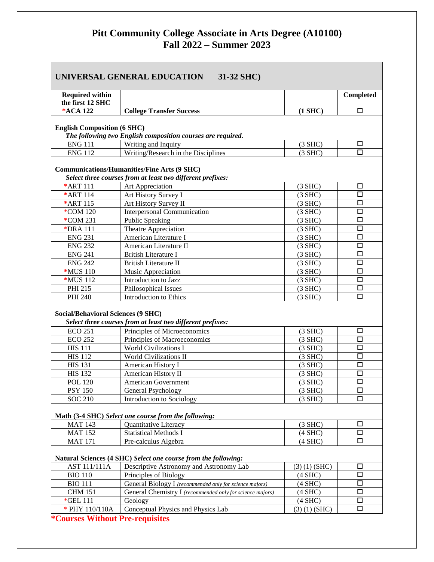## **Pitt Community College Associate in Arts Degree (A10100) Fall 2022 – Summer 2023**

| UNIVERSAL GENERAL EDUCATION 31-32 SHC)     |                                                                                                                  |                     |                      |  |
|--------------------------------------------|------------------------------------------------------------------------------------------------------------------|---------------------|----------------------|--|
| <b>Required within</b><br>the first 12 SHC |                                                                                                                  |                     | Completed            |  |
| *ACA 122                                   | <b>College Transfer Success</b>                                                                                  | $(1$ SHC $)$        | □                    |  |
| <b>English Composition (6 SHC)</b>         | The following two English composition courses are required.                                                      |                     |                      |  |
| <b>ENG 111</b>                             | Writing and Inquiry                                                                                              | $(3$ SHC)           | □                    |  |
| <b>ENG 112</b>                             | Writing/Research in the Disciplines                                                                              | $(3$ SHC)           | $\Box$               |  |
|                                            | <b>Communications/Humanities/Fine Arts (9 SHC)</b><br>Select three courses from at least two different prefixes: |                     |                      |  |
| *ART 111                                   | Art Appreciation                                                                                                 | $(3$ SHC)           | □                    |  |
| *ART 114                                   | Art History Survey I                                                                                             | $(3$ SHC)           | $\Box$               |  |
| *ART 115                                   | Art History Survey II                                                                                            | $(3$ SHC)           | □                    |  |
| *COM 120                                   | <b>Interpersonal Communication</b>                                                                               | $(3$ SHC)           | $\Box$               |  |
| *COM 231                                   | <b>Public Speaking</b>                                                                                           | $(3$ SHC)           | □                    |  |
| *DRA 111                                   | Theatre Appreciation                                                                                             | $(3$ SHC)           | $\Box$               |  |
| <b>ENG 231</b>                             | American Literature I                                                                                            | $(3$ SHC)           | $\Box$               |  |
| <b>ENG 232</b>                             | American Literature II                                                                                           | $(3$ SHC)           | $\Box$               |  |
| <b>ENG 241</b>                             | <b>British Literature I</b>                                                                                      | $(3$ SHC)           | □                    |  |
| <b>ENG 242</b>                             | <b>British Literature II</b>                                                                                     | $(3$ SHC)           | □                    |  |
| *MUS 110                                   | Music Appreciation                                                                                               | $(3$ SHC)           | $\Box$               |  |
| *MUS 112                                   | Introduction to Jazz                                                                                             | $(3$ SHC $)$        | $\Box$               |  |
| PHI 215                                    | Philosophical Issues                                                                                             | $(3$ SHC)           | $\Box$               |  |
| PHI 240                                    | <b>Introduction to Ethics</b>                                                                                    | $(3$ SHC)           | $\Box$               |  |
| <b>Social/Behavioral Sciences (9 SHC)</b>  | Select three courses from at least two different prefixes:                                                       |                     |                      |  |
| <b>ECO 251</b>                             | Principles of Microeconomics                                                                                     | $(3$ SHC)           | □                    |  |
| <b>ECO 252</b>                             | Principles of Macroeconomics                                                                                     | $(3$ SHC)           | $\Box$               |  |
| <b>HIS 111</b>                             | <b>World Civilizations I</b>                                                                                     | $(3$ SHC $)$        | □                    |  |
| <b>HIS 112</b>                             | <b>World Civilizations II</b>                                                                                    | $(3$ SHC)           | □                    |  |
| <b>HIS 131</b>                             | American History I                                                                                               | $(3$ SHC)           | □                    |  |
| <b>HIS 132</b>                             | American History II                                                                                              | $(3$ SHC)           | □                    |  |
| <b>POL 120</b>                             | American Government                                                                                              | $(3$ SHC)           | $\overline{\square}$ |  |
| <b>PSY 150</b>                             | General Psychology                                                                                               | $(3$ SHC $)$        | □                    |  |
| <b>SOC 210</b>                             | Introduction to Sociology                                                                                        | $(3$ SHC)           | $\Box$               |  |
|                                            | Math (3-4 SHC) Select one course from the following:                                                             |                     |                      |  |
| <b>MAT 143</b>                             | Quantitative Literacy                                                                                            | $(3$ SHC)           | □                    |  |
| <b>MAT 152</b>                             | <b>Statistical Methods I</b>                                                                                     | $(4$ SHC $)$        | $\Box$               |  |
| <b>MAT 171</b>                             | Pre-calculus Algebra                                                                                             | $(4$ SHC $)$        | $\Box$               |  |
|                                            | Natural Sciences (4 SHC) Select one course from the following:                                                   |                     |                      |  |
| <b>AST 111/111A</b>                        | Descriptive Astronomy and Astronomy Lab                                                                          | $(3)$ $(1)$ $(SHC)$ | □                    |  |
| <b>BIO 110</b>                             | Principles of Biology                                                                                            | $(4$ SHC $)$        | □                    |  |
| <b>BIO 111</b>                             | General Biology I (recommended only for science majors)                                                          | $(4$ SHC $)$        | □                    |  |
| <b>CHM 151</b>                             | General Chemistry I (recommended only for science majors)                                                        | $(4$ SHC $)$        | $\Box$               |  |
| *GEL 111                                   | Geology                                                                                                          | $(4$ SHC $)$        | $\Box$               |  |
| * PHY 110/110A                             | Conceptual Physics and Physics Lab                                                                               | $(3)$ $(1)$ $(SHC)$ | □                    |  |

**\*Courses Without Pre-requisites**